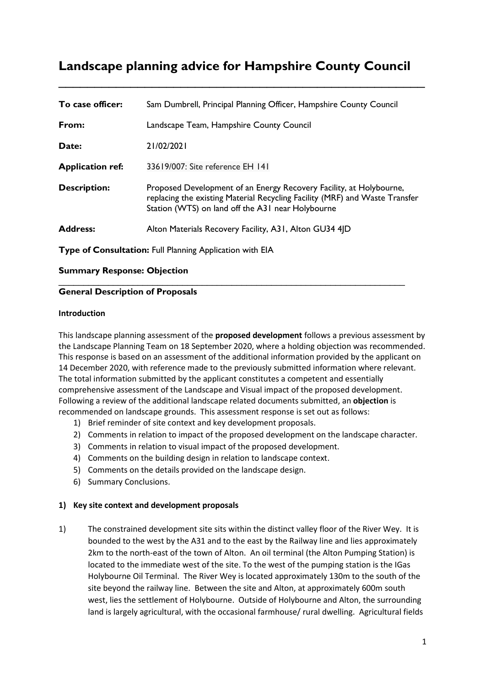# **Landscape planning advice for Hampshire County Council**

 $\mathcal{L}_\text{max}$  and  $\mathcal{L}_\text{max}$  and  $\mathcal{L}_\text{max}$  and  $\mathcal{L}_\text{max}$  and  $\mathcal{L}_\text{max}$  and  $\mathcal{L}_\text{max}$ 

| To case officer:                                                | Sam Dumbrell, Principal Planning Officer, Hampshire County Council                                                                                                                                      |
|-----------------------------------------------------------------|---------------------------------------------------------------------------------------------------------------------------------------------------------------------------------------------------------|
| From:                                                           | Landscape Team, Hampshire County Council                                                                                                                                                                |
| Date:                                                           | 21/02/2021                                                                                                                                                                                              |
| <b>Application ref:</b>                                         | 33619/007: Site reference EH 141                                                                                                                                                                        |
| <b>Description:</b>                                             | Proposed Development of an Energy Recovery Facility, at Holybourne,<br>replacing the existing Material Recycling Facility (MRF) and Waste Transfer<br>Station (WTS) on land off the A31 near Holybourne |
| <b>Address:</b>                                                 | Alton Materials Recovery Facility, A31, Alton GU34 4JD                                                                                                                                                  |
| <b>Type of Consultation: Full Planning Application with EIA</b> |                                                                                                                                                                                                         |

## **Summary Response: Objection**

#### $\mathcal{L}_\text{max}$  , and the contribution of the contribution of the contribution of the contribution of the contribution of the contribution of the contribution of the contribution of the contribution of the contribution of t **General Description of Proposals**

#### **Introduction**

This landscape planning assessment of the **proposed development** follows a previous assessment by the Landscape Planning Team on 18 September 2020, where a holding objection was recommended. This response is based on an assessment of the additional information provided by the applicant on 14 December 2020, with reference made to the previously submitted information where relevant. The total information submitted by the applicant constitutes a competent and essentially comprehensive assessment of the Landscape and Visual impact of the proposed development. Following a review of the additional landscape related documents submitted, an **objection** is recommended on landscape grounds. This assessment response is set out as follows:

- 1) Brief reminder of site context and key development proposals.
- 2) Comments in relation to impact of the proposed development on the landscape character.
- 3) Comments in relation to visual impact of the proposed development.
- 4) Comments on the building design in relation to landscape context.
- 5) Comments on the details provided on the landscape design.
- 6) Summary Conclusions.

## **1) Key site context and development proposals**

1) The constrained development site sits within the distinct valley floor of the River Wey. It is bounded to the west by the A31 and to the east by the Railway line and lies approximately 2km to the north-east of the town of Alton. An oil terminal (the Alton Pumping Station) is located to the immediate west of the site. To the west of the pumping station is the IGas Holybourne Oil Terminal. The River Wey is located approximately 130m to the south of the site beyond the railway line. Between the site and Alton, at approximately 600m south west, lies the settlement of Holybourne. Outside of Holybourne and Alton, the surrounding land is largely agricultural, with the occasional farmhouse/ rural dwelling. Agricultural fields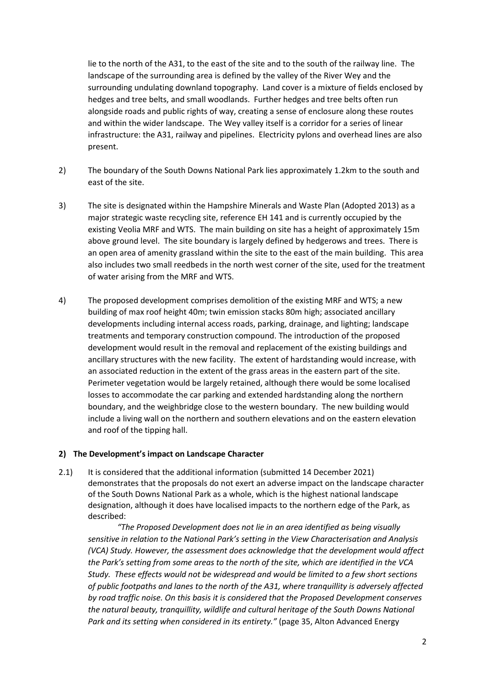lie to the north of the A31, to the east of the site and to the south of the railway line. The landscape of the surrounding area is defined by the valley of the River Wey and the surrounding undulating downland topography. Land cover is a mixture of fields enclosed by hedges and tree belts, and small woodlands. Further hedges and tree belts often run alongside roads and public rights of way, creating a sense of enclosure along these routes and within the wider landscape. The Wey valley itself is a corridor for a series of linear infrastructure: the A31, railway and pipelines. Electricity pylons and overhead lines are also present.

- 2) The boundary of the South Downs National Park lies approximately 1.2km to the south and east of the site.
- 3) The site is designated within the Hampshire Minerals and Waste Plan (Adopted 2013) as a major strategic waste recycling site, reference EH 141 and is currently occupied by the existing Veolia MRF and WTS. The main building on site has a height of approximately 15m above ground level. The site boundary is largely defined by hedgerows and trees. There is an open area of amenity grassland within the site to the east of the main building. This area also includes two small reedbeds in the north west corner of the site, used for the treatment of water arising from the MRF and WTS.
- 4) The proposed development comprises demolition of the existing MRF and WTS; a new building of max roof height 40m; twin emission stacks 80m high; associated ancillary developments including internal access roads, parking, drainage, and lighting; landscape treatments and temporary construction compound. The introduction of the proposed development would result in the removal and replacement of the existing buildings and ancillary structures with the new facility. The extent of hardstanding would increase, with an associated reduction in the extent of the grass areas in the eastern part of the site. Perimeter vegetation would be largely retained, although there would be some localised losses to accommodate the car parking and extended hardstanding along the northern boundary, and the weighbridge close to the western boundary. The new building would include a living wall on the northern and southern elevations and on the eastern elevation and roof of the tipping hall.

#### **2) The Development's impact on Landscape Character**

2.1) It is considered that the additional information (submitted 14 December 2021) demonstrates that the proposals do not exert an adverse impact on the landscape character of the South Downs National Park as a whole, which is the highest national landscape designation, although it does have localised impacts to the northern edge of the Park, as described:

*"The Proposed Development does not lie in an area identified as being visually sensitive in relation to the National Park's setting in the View Characterisation and Analysis (VCA) Study. However, the assessment does acknowledge that the development would affect the Park's setting from some areas to the north of the site, which are identified in the VCA Study. These effects would not be widespread and would be limited to a few short sections of public footpaths and lanes to the north of the A31, where tranquillity is adversely affected by road traffic noise. On this basis it is considered that the Proposed Development conserves the natural beauty, tranquillity, wildlife and cultural heritage of the South Downs National Park and its setting when considered in its entirety."* (page 35, Alton Advanced Energy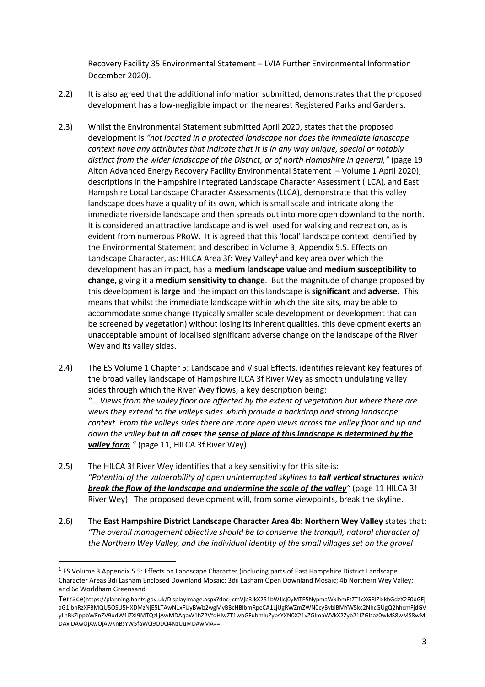Recovery Facility 35 Environmental Statement – LVIA Further Environmental Information December 2020).

- 2.2) It is also agreed that the additional information submitted, demonstrates that the proposed development has a low-negligible impact on the nearest Registered Parks and Gardens.
- 2.3) Whilst the Environmental Statement submitted April 2020, states that the proposed development is *"not located in a protected landscape nor does the immediate landscape context have any attributes that indicate that it is in any way unique, special or notably distinct from the wider landscape of the District, or of north Hampshire in general,"* (page 19 Alton Advanced Energy Recovery Facility Environmental Statement – Volume 1 April 2020), descriptions in the Hampshire Integrated Landscape Character Assessment (ILCA), and East Hampshire Local Landscape Character Assessments (LLCA), demonstrate that this valley landscape does have a quality of its own, which is small scale and intricate along the immediate riverside landscape and then spreads out into more open downland to the north. It is considered an attractive landscape and is well used for walking and recreation, as is evident from numerous PRoW. It is agreed that this 'local' landscape context identified by the Environmental Statement and described in Volume 3, Appendix 5.5. Effects on Landscape Character, as: HILCA Area 3f: Wey Valley<sup>1</sup> and key area over which the development has an impact, has a **medium landscape value** and **medium susceptibility to change,** giving it a **medium sensitivity to change**. But the magnitude of change proposed by this development is **large** and the impact on this landscape is **significant** and **adverse**. This means that whilst the immediate landscape within which the site sits, may be able to accommodate some change (typically smaller scale development or development that can be screened by vegetation) without losing its inherent qualities, this development exerts an unacceptable amount of localised significant adverse change on the landscape of the River Wey and its valley sides.
- 2.4) The ES Volume 1 Chapter 5: Landscape and Visual Effects, identifies relevant key features of the broad valley landscape of Hampshire ILCA 3f River Wey as smooth undulating valley sides through which the River Wey flows, a key description being: *"… Views from the valley floor are affected by the extent of vegetation but where there are views they extend to the valleys sides which provide a backdrop and strong landscape context. From the valleys sides there are more open views across the valley floor and up and down the valley but in all cases the sense of place of this landscape is determined by the valley form."* (page 11, HILCA 3f River Wey)
- 2.5) The HILCA 3f River Wey identifies that a key sensitivity for this site is: *"Potential of the vulnerability of open uninterrupted skylines to tall vertical structures which break the flow of the landscape and undermine the scale of the valley"* (page 11 HILCA 3f River Wey). The proposed development will, from some viewpoints, break the skyline.
- 2.6) The **East Hampshire District Landscape Character Area 4b: Northern Wey Valley** states that: *"The overall management objective should be to conserve the tranquil, natural character of the Northern Wey Valley, and the individual identity of the small villages set on the gravel*

<sup>1</sup> ES Volume 3 Appendix 5.5: Effects on Landscape Character (including parts of East Hampshire District Landscape Character Areas 3di Lasham Enclosed Downland Mosaic; 3dii Lasham Open Downland Mosaic; 4b Northern Wey Valley; and 6c Worldham Greensand

Terrace)https://planning.hants.gov.uk/DisplayImage.aspx?doc=cmVjb3JkX251bWJlcj0yMTE5NypmaWxlbmFtZT1cXGRlZlxkbGdzX2F0dGFj aG1lbnRzXFBMQU5OSU5HXDMzNjE5LTAwN1xFUyBWb2wgMyBBcHBlbmRpeCA1LjUgRWZmZWN0cyBvbiBMYW5kc2NhcGUgQ2hhcmFjdGV yLnBkZippbWFnZV9udW1iZXI9MTQzLjAwMDAqaW1hZ2VfdHlwZT1wbGFubmluZypsYXN0X21vZGlmaWVkX2Zyb21fZGlzaz0wMS8wMS8wM DAxIDAwOjAwOjAwKnBsYW5faWQ9ODQ4NzUuMDAwMA==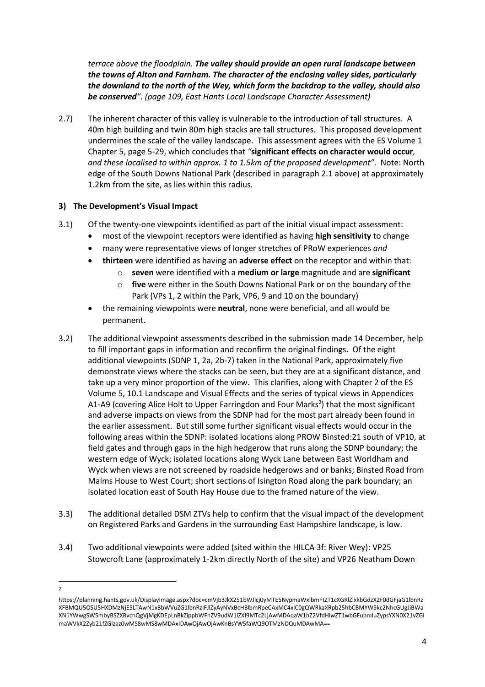*terrace above the floodplain. The valley should provide an open rural landscape between the towns of Alton and Farnham. The character of the enclosing valley sides, particularly the downland to the north of the Wey, which form the backdrop to the valley, should also be conserved". (page 109, East Hants Local Landscape Character Assessment)*

2.7) The inherent character of this valley is vulnerable to the introduction of tall structures. A 40m high building and twin 80m high stacks are tall structures. This proposed development undermines the scale of the valley landscape. This assessment agrees with the ES Volume 1 Chapter 5, page 5-29, which concludes that *"***significant effects on character would occur***, and these localised to within approx. 1 to 1.5km of the proposed development".* Note: North edge of the South Downs National Park (described in paragraph 2.1 above) at approximately 1.2km from the site, as lies within this radius.

## **3) The Development's Visual Impact**

- 3.1) Of the twenty-one viewpoints identified as part of the initial visual impact assessment:
	- most of the viewpoint receptors were identified as having **high sensitivity** to change
	- many were representative views of longer stretches of PRoW experiences *and*
	- **thirteen** were identified as having an **adverse effect** on the receptor and within that:
		- o **seven** were identified with a **medium or large** magnitude and are **significant**
		- o **five** were either in the South Downs National Park or on the boundary of the Park (VPs 1, 2 within the Park, VP6, 9 and 10 on the boundary)
	- the remaining viewpoints were **neutral**, none were beneficial, and all would be permanent.
- 3.2) The additional viewpoint assessments described in the submission made 14 December, help to fill important gaps in information and reconfirm the original findings. Of the eight additional viewpoints (SDNP 1, 2a, 2b-7) taken in the National Park, approximately five demonstrate views where the stacks can be seen, but they are at a significant distance, and take up a very minor proportion of the view. This clarifies, along with Chapter 2 of the ES Volume 5, 10.1 Landscape and Visual Effects and the series of typical views in Appendices A1-A9 (covering Alice Holt to Upper Farringdon and Four Marks<sup>2</sup>) that the most significant and adverse impacts on views from the SDNP had for the most part already been found in the earlier assessment. But still some further significant visual effects would occur in the following areas within the SDNP: isolated locations along PROW Binsted:21 south of VP10, at field gates and through gaps in the high hedgerow that runs along the SDNP boundary; the western edge of Wyck; isolated locations along Wyck Lane between East Worldham and Wyck when views are not screened by roadside hedgerows and or banks; Binsted Road from Malms House to West Court; short sections of Isington Road along the park boundary; an isolated location east of South Hay House due to the framed nature of the view.
- 3.3) The additional detailed DSM ZTVs help to confirm that the visual impact of the development on Registered Parks and Gardens in the surrounding East Hampshire landscape, is low.
- 3.4) Two additional viewpoints were added (sited within the HILCA 3f: River Wey): VP25 Stowcroft Lane (approximately 1-2km directly North of the site) and VP26 Neatham Down
- $\overline{2}$

https://planning.hants.gov.uk/DisplayImage.aspx?doc=cmVjb3JkX251bWJlcj0yMTE5NypmaWxlbmFtZT1cXGRlZlxkbGdzX2F0dGFjaG1lbnRz XFBMQU5OSU5HXDMzNjE5LTAwN1xBbWVuZG1lbnRzIFJlZyAyNVxBcHBlbmRpeCAxMC4xIC0gQWRkaXRpb25hbCBMYW5kc2NhcGUgJiBWa XN1YWwgSW5mbyBSZXBvcnQgVjMgKDEpLnBkZippbWFnZV9udW1iZXI9MTc2LjAwMDAqaW1hZ2VfdHlwZT1wbGFubmluZypsYXN0X21vZGl maWVkX2Zyb21fZGlzaz0wMS8wMS8wMDAxIDAwOjAwOjAwKnBsYW5faWQ9OTMzNDQuMDAwMA==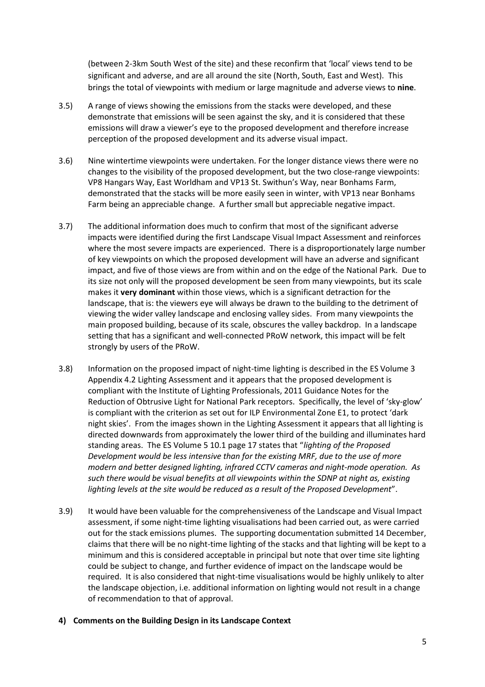(between 2-3km South West of the site) and these reconfirm that 'local' views tend to be significant and adverse, and are all around the site (North, South, East and West). This brings the total of viewpoints with medium or large magnitude and adverse views to **nine**.

- 3.5) A range of views showing the emissions from the stacks were developed, and these demonstrate that emissions will be seen against the sky, and it is considered that these emissions will draw a viewer's eye to the proposed development and therefore increase perception of the proposed development and its adverse visual impact.
- 3.6) Nine wintertime viewpoints were undertaken. For the longer distance views there were no changes to the visibility of the proposed development, but the two close-range viewpoints: VP8 Hangars Way, East Worldham and VP13 St. Swithun's Way, near Bonhams Farm, demonstrated that the stacks will be more easily seen in winter, with VP13 near Bonhams Farm being an appreciable change. A further small but appreciable negative impact.
- 3.7) The additional information does much to confirm that most of the significant adverse impacts were identified during the first Landscape Visual Impact Assessment and reinforces where the most severe impacts are experienced. There is a disproportionately large number of key viewpoints on which the proposed development will have an adverse and significant impact, and five of those views are from within and on the edge of the National Park. Due to its size not only will the proposed development be seen from many viewpoints, but its scale makes it **very dominant** within those views, which is a significant detraction for the landscape, that is: the viewers eye will always be drawn to the building to the detriment of viewing the wider valley landscape and enclosing valley sides. From many viewpoints the main proposed building, because of its scale, obscures the valley backdrop. In a landscape setting that has a significant and well-connected PRoW network, this impact will be felt strongly by users of the PRoW.
- 3.8) Information on the proposed impact of night-time lighting is described in the ES Volume 3 Appendix 4.2 Lighting Assessment and it appears that the proposed development is compliant with the Institute of Lighting Professionals, 2011 Guidance Notes for the Reduction of Obtrusive Light for National Park receptors. Specifically, the level of 'sky-glow' is compliant with the criterion as set out for ILP Environmental Zone E1, to protect 'dark night skies'. From the images shown in the Lighting Assessment it appears that all lighting is directed downwards from approximately the lower third of the building and illuminates hard standing areas. The ES Volume 5 10.1 page 17 states that "*lighting of the Proposed Development would be less intensive than for the existing MRF, due to the use of more modern and better designed lighting, infrared CCTV cameras and night-mode operation. As such there would be visual benefits at all viewpoints within the SDNP at night as, existing lighting levels at the site would be reduced as a result of the Proposed Development*".
- 3.9) It would have been valuable for the comprehensiveness of the Landscape and Visual Impact assessment, if some night-time lighting visualisations had been carried out, as were carried out for the stack emissions plumes. The supporting documentation submitted 14 December, claims that there will be no night-time lighting of the stacks and that lighting will be kept to a minimum and this is considered acceptable in principal but note that over time site lighting could be subject to change, and further evidence of impact on the landscape would be required. It is also considered that night-time visualisations would be highly unlikely to alter the landscape objection, i.e. additional information on lighting would not result in a change of recommendation to that of approval.
- **4) Comments on the Building Design in its Landscape Context**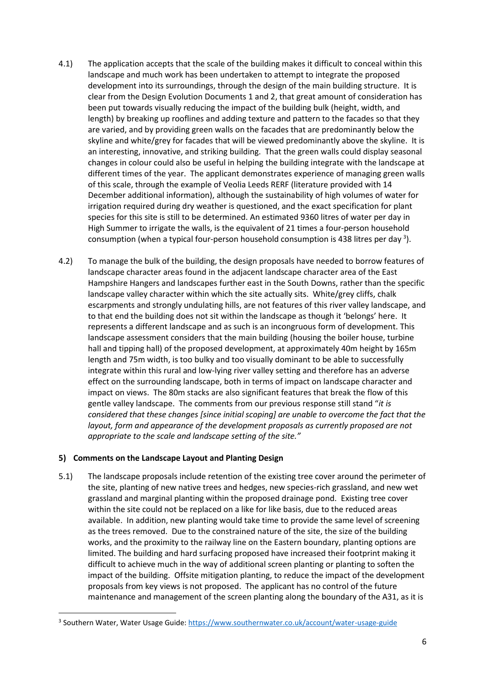- 4.1) The application accepts that the scale of the building makes it difficult to conceal within this landscape and much work has been undertaken to attempt to integrate the proposed development into its surroundings, through the design of the main building structure. It is clear from the Design Evolution Documents 1 and 2, that great amount of consideration has been put towards visually reducing the impact of the building bulk (height, width, and length) by breaking up rooflines and adding texture and pattern to the facades so that they are varied, and by providing green walls on the facades that are predominantly below the skyline and white/grey for facades that will be viewed predominantly above the skyline. It is an interesting, innovative, and striking building. That the green walls could display seasonal changes in colour could also be useful in helping the building integrate with the landscape at different times of the year. The applicant demonstrates experience of managing green walls of this scale, through the example of Veolia Leeds RERF (literature provided with 14 December additional information), although the sustainability of high volumes of water for irrigation required during dry weather is questioned, and the exact specification for plant species for this site is still to be determined. An estimated 9360 litres of water per day in High Summer to irrigate the walls, is the equivalent of 21 times a four-person household consumption (when a typical four-person household consumption is 438 litres per day  $3$ ).
- 4.2) To manage the bulk of the building, the design proposals have needed to borrow features of landscape character areas found in the adjacent landscape character area of the East Hampshire Hangers and landscapes further east in the South Downs, rather than the specific landscape valley character within which the site actually sits. White/grey cliffs, chalk escarpments and strongly undulating hills, are not features of this river valley landscape, and to that end the building does not sit within the landscape as though it 'belongs' here. It represents a different landscape and as such is an incongruous form of development. This landscape assessment considers that the main building (housing the boiler house, turbine hall and tipping hall) of the proposed development, at approximately 40m height by 165m length and 75m width, is too bulky and too visually dominant to be able to successfully integrate within this rural and low-lying river valley setting and therefore has an adverse effect on the surrounding landscape, both in terms of impact on landscape character and impact on views. The 80m stacks are also significant features that break the flow of this gentle valley landscape. The comments from our previous response still stand "*it is considered that these changes [since initial scoping] are unable to overcome the fact that the layout, form and appearance of the development proposals as currently proposed are not appropriate to the scale and landscape setting of the site."*

## **5) Comments on the Landscape Layout and Planting Design**

5.1) The landscape proposals include retention of the existing tree cover around the perimeter of the site, planting of new native trees and hedges, new species-rich grassland, and new wet grassland and marginal planting within the proposed drainage pond. Existing tree cover within the site could not be replaced on a like for like basis, due to the reduced areas available. In addition, new planting would take time to provide the same level of screening as the trees removed. Due to the constrained nature of the site, the size of the building works, and the proximity to the railway line on the Eastern boundary, planting options are limited. The building and hard surfacing proposed have increased their footprint making it difficult to achieve much in the way of additional screen planting or planting to soften the impact of the building. Offsite mitigation planting, to reduce the impact of the development proposals from key views is not proposed. The applicant has no control of the future maintenance and management of the screen planting along the boundary of the A31, as it is

<sup>3</sup> Southern Water, Water Usage Guide: https://www.southernwater.co.uk/account/water-usage-guide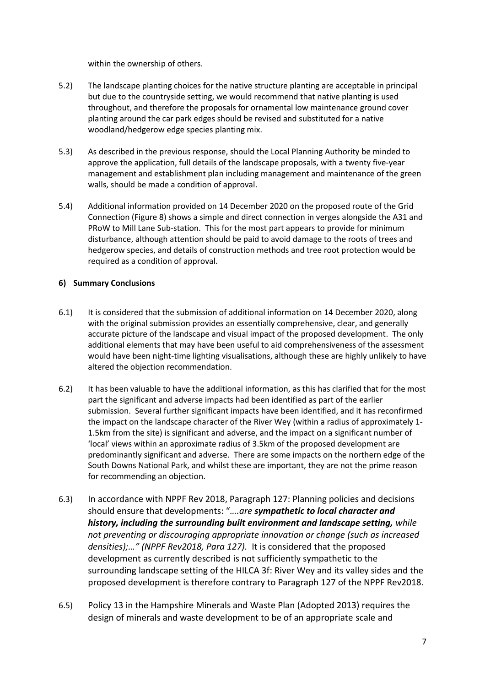within the ownership of others.

- 5.2) The landscape planting choices for the native structure planting are acceptable in principal but due to the countryside setting, we would recommend that native planting is used throughout, and therefore the proposals for ornamental low maintenance ground cover planting around the car park edges should be revised and substituted for a native woodland/hedgerow edge species planting mix.
- 5.3) As described in the previous response, should the Local Planning Authority be minded to approve the application, full details of the landscape proposals, with a twenty five-year management and establishment plan including management and maintenance of the green walls, should be made a condition of approval.
- 5.4) Additional information provided on 14 December 2020 on the proposed route of the Grid Connection (Figure 8) shows a simple and direct connection in verges alongside the A31 and PRoW to Mill Lane Sub-station. This for the most part appears to provide for minimum disturbance, although attention should be paid to avoid damage to the roots of trees and hedgerow species, and details of construction methods and tree root protection would be required as a condition of approval.

## **6) Summary Conclusions**

- 6.1) It is considered that the submission of additional information on 14 December 2020, along with the original submission provides an essentially comprehensive, clear, and generally accurate picture of the landscape and visual impact of the proposed development. The only additional elements that may have been useful to aid comprehensiveness of the assessment would have been night-time lighting visualisations, although these are highly unlikely to have altered the objection recommendation.
- 6.2) It has been valuable to have the additional information, as this has clarified that for the most part the significant and adverse impacts had been identified as part of the earlier submission. Several further significant impacts have been identified, and it has reconfirmed the impact on the landscape character of the River Wey (within a radius of approximately 1- 1.5km from the site) is significant and adverse, and the impact on a significant number of 'local' views within an approximate radius of 3.5km of the proposed development are predominantly significant and adverse. There are some impacts on the northern edge of the South Downs National Park, and whilst these are important, they are not the prime reason for recommending an objection.
- 6.3) In accordance with NPPF Rev 2018, Paragraph 127: Planning policies and decisions should ensure that developments: "*….are sympathetic to local character and history, including the surrounding built environment and landscape setting, while not preventing or discouraging appropriate innovation or change (such as increased densities);…" (NPPF Rev2018, Para 127).* It is considered that the proposed development as currently described is not sufficiently sympathetic to the surrounding landscape setting of the HILCA 3f: River Wey and its valley sides and the proposed development is therefore contrary to Paragraph 127 of the NPPF Rev2018.
- 6.5) Policy 13 in the Hampshire Minerals and Waste Plan (Adopted 2013) requires the design of minerals and waste development to be of an appropriate scale and